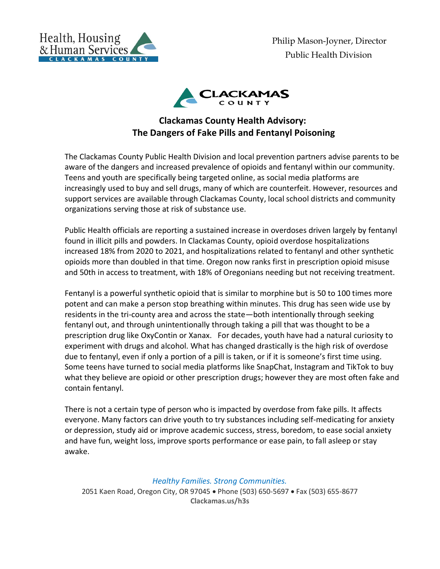

Philip Mason-Joyner, Director Public Health Division



## **Clackamas County Health Advisory: The Dangers of Fake Pills and Fentanyl Poisoning**

The Clackamas County Public Health Division and local prevention partners advise parents to be aware of the dangers and increased prevalence of opioids and fentanyl within our community. Teens and youth are specifically being targeted online, as social media platforms are increasingly used to buy and sell drugs, many of which are counterfeit. However, resources and support services are available through Clackamas County, local school districts and community organizations serving those at risk of substance use.

Public Health officials are reporting a sustained increase in overdoses driven largely by fentanyl found in illicit pills and powders. In Clackamas County, opioid overdose hospitalizations increased 18% from 2020 to 2021, and hospitalizations related to fentanyl and other synthetic opioids more than doubled in that time. Oregon now ranks first in prescription opioid misuse and 50th in access to treatment, with 18% of Oregonians needing but not receiving treatment.

Fentanyl is a powerful synthetic opioid that is similar to morphine but is 50 to 100 times more potent and can make a person stop breathing within minutes. This drug has seen wide use by residents in the tri-county area and across the state—both intentionally through seeking fentanyl out, and through unintentionally through taking a pill that was thought to be a prescription drug like OxyContin or Xanax. For decades, youth have had a natural curiosity to experiment with drugs and alcohol. What has changed drastically is the high risk of overdose due to fentanyl, even if only a portion of a pill is taken, or if it is someone's first time using. Some teens have turned to social media platforms like SnapChat, Instagram and TikTok to buy what they believe are opioid or other prescription drugs; however they are most often fake and contain fentanyl.

There is not a certain type of person who is impacted by overdose from fake pills. It affects everyone. Many factors can drive youth to try substances including self-medicating for anxiety or depression, study aid or improve academic success, stress, boredom, to ease social anxiety and have fun, weight loss, improve sports performance or ease pain, to fall asleep or stay awake.

*Healthy Families. Strong Communities.* 2051 Kaen Road, Oregon City, OR 97045 Phone (503) 650-5697 Fax (503) 655-8677 **Clackamas.us/h3s**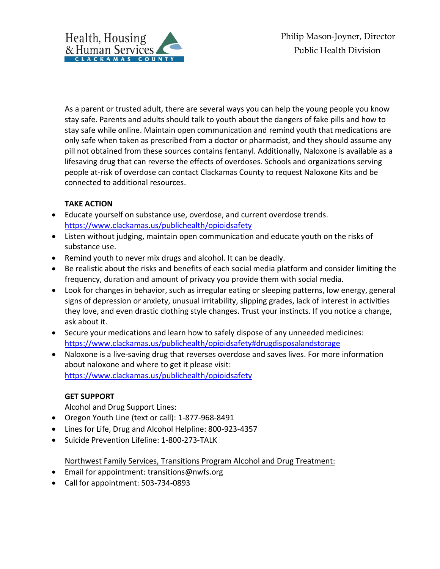

As a parent or trusted adult, there are several ways you can help the young people you know stay safe. Parents and adults should talk to youth about the dangers of fake pills and how to stay safe while online. Maintain open communication and remind youth that medications are only safe when taken as prescribed from a doctor or pharmacist, and they should assume any pill not obtained from these sources contains fentanyl. Additionally, Naloxone is available as a lifesaving drug that can reverse the effects of overdoses. Schools and organizations serving people at-risk of overdose can contact Clackamas County to request Naloxone Kits and be connected to additional resources.

## **TAKE ACTION**

- Educate yourself on substance use, overdose, and current overdose trends. <https://www.clackamas.us/publichealth/opioidsafety>
- Listen without judging, maintain open communication and educate youth on the risks of substance use.
- Remind youth to never mix drugs and alcohol. It can be deadly.
- Be realistic about the risks and benefits of each social media platform and consider limiting the frequency, duration and amount of privacy you provide them with social media.
- Look for changes in behavior, such as irregular eating or sleeping patterns, low energy, general signs of depression or anxiety, unusual irritability, slipping grades, lack of interest in activities they love, and even drastic clothing style changes. Trust your instincts. If you notice a change, ask about it.
- Secure your medications and learn how to safely dispose of any unneeded medicines: <https://www.clackamas.us/publichealth/opioidsafety#drugdisposalandstorage>
- Naloxone is a live-saving drug that reverses overdose and saves lives. For more information about naloxone and where to get it please visit: <https://www.clackamas.us/publichealth/opioidsafety>

## **GET SUPPORT**

Alcohol and Drug Support Lines:

- Oregon Youth Line (text or call): 1-877-968-8491
- Lines for Life, Drug and Alcohol Helpline: 800-923-4357
- Suicide Prevention Lifeline: 1-800-273-TALK

Northwest Family Services, Transitions Program Alcohol and Drug Treatment:

- Email for appointment: transitions@nwfs.org
- Call for appointment: 503-734-0893